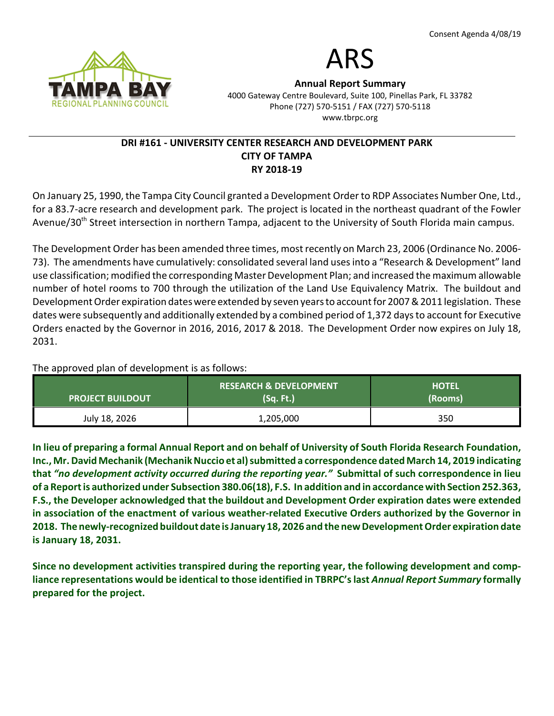

# ARS

Annual Report Summary 4000 Gateway Centre Boulevard, Suite 100, Pinellas Park, FL 33782 Phone (727) 570-5151 / FAX (727) 570-5118 www.tbrpc.org

## DRI #161 - UNIVERSITY CENTER RESEARCH AND DEVELOPMENT PARK CITY OF TAMPA RY 2018-19

On January 25, 1990, the Tampa City Council granted a Development Order to RDP Associates Number One, Ltd., for a 83.7-acre research and development park. The project is located in the northeast quadrant of the Fowler Avenue/30<sup>th</sup> Street intersection in northern Tampa, adjacent to the University of South Florida main campus.

The Development Order has been amended three times, most recently on March 23, 2006 (Ordinance No. 2006- 73). The amendments have cumulatively: consolidated several land uses into a "Research & Development" land use classification; modified the corresponding Master Development Plan; and increased the maximum allowable number of hotel rooms to 700 through the utilization of the Land Use Equivalency Matrix. The buildout and Development Order expiration dates were extended by seven years to account for 2007 & 2011 legislation. These dates were subsequently and additionally extended by a combined period of 1,372 days to account for Executive Orders enacted by the Governor in 2016, 2016, 2017 & 2018. The Development Order now expires on July 18, 2031.

The approved plan of development is as follows:

| <b>PROJECT BUILDOUT</b> | <b>RESEARCH &amp; DEVELOPMENT</b><br>(Sq. Ft.) | <b>HOTEL</b><br>(Rooms) |
|-------------------------|------------------------------------------------|-------------------------|
| July 18, 2026           | 1,205,000                                      | 350                     |

In lieu of preparing a formal Annual Report and on behalf of University of South Florida Research Foundation, Inc., Mr. David Mechanik (Mechanik Nuccio et al) submitted a correspondence dated March 14, 2019 indicating that "no development activity occurred during the reporting year." Submittal of such correspondence in lieu of a Report is authorized under Subsection 380.06(18), F.S. In addition and in accordance with Section 252.363, F.S., the Developer acknowledged that the buildout and Development Order expiration dates were extended in association of the enactment of various weather-related Executive Orders authorized by the Governor in 2018. The newly-recognized buildout date is January 18, 2026 and the new Development Order expiration date is January 18, 2031.

Since no development activities transpired during the reporting year, the following development and compliance representations would be identical to those identified in TBRPC's last Annual Report Summary formally prepared for the project.